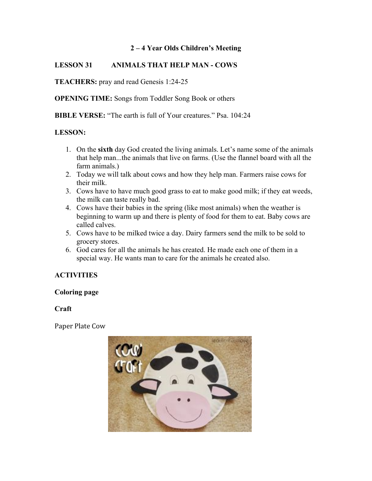## **2 – 4 Year Olds Children's Meeting**

## **LESSON 31 ANIMALS THAT HELP MAN - COWS**

**TEACHERS:** pray and read Genesis 1:24-25

**OPENING TIME:** Songs from Toddler Song Book or others

**BIBLE VERSE:** "The earth is full of Your creatures." Psa. 104:24

#### **LESSON:**

- 1. On the **sixth** day God created the living animals. Let's name some of the animals that help man...the animals that live on farms. (Use the flannel board with all the farm animals.)
- 2. Today we will talk about cows and how they help man. Farmers raise cows for their milk.
- 3. Cows have to have much good grass to eat to make good milk; if they eat weeds, the milk can taste really bad.
- 4. Cows have their babies in the spring (like most animals) when the weather is beginning to warm up and there is plenty of food for them to eat. Baby cows are called calves.
- 5. Cows have to be milked twice a day. Dairy farmers send the milk to be sold to grocery stores.
- 6. God cares for all the animals he has created. He made each one of them in a special way. He wants man to care for the animals he created also.

# **ACTIVITIES**

#### **Coloring page**

### **Craft**

Paper Plate Cow